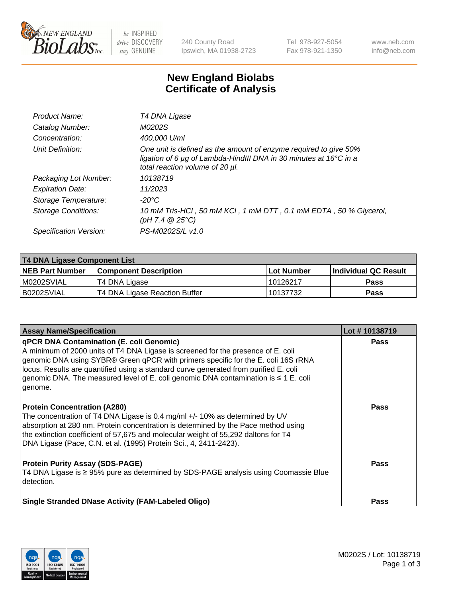

 $be$  INSPIRED drive DISCOVERY stay GENUINE

240 County Road Ipswich, MA 01938-2723 Tel 978-927-5054 Fax 978-921-1350 www.neb.com info@neb.com

## **New England Biolabs Certificate of Analysis**

| Product Name:              | T4 DNA Ligase                                                                                                                                                            |
|----------------------------|--------------------------------------------------------------------------------------------------------------------------------------------------------------------------|
| Catalog Number:            | M0202S                                                                                                                                                                   |
| Concentration:             | 400,000 U/ml                                                                                                                                                             |
| Unit Definition:           | One unit is defined as the amount of enzyme required to give 50%<br>ligation of 6 µg of Lambda-HindIII DNA in 30 minutes at 16°C in a<br>total reaction volume of 20 µl. |
| Packaging Lot Number:      | 10138719                                                                                                                                                                 |
| <b>Expiration Date:</b>    | 11/2023                                                                                                                                                                  |
| Storage Temperature:       | -20°C                                                                                                                                                                    |
| <b>Storage Conditions:</b> | 10 mM Tris-HCl, 50 mM KCl, 1 mM DTT, 0.1 mM EDTA, 50 % Glycerol,<br>(pH 7.4 $@25°C$ )                                                                                    |
| Specification Version:     | PS-M0202S/L v1.0                                                                                                                                                         |

| <b>T4 DNA Ligase Component List</b> |                               |              |                             |  |  |
|-------------------------------------|-------------------------------|--------------|-----------------------------|--|--|
| <b>NEB Part Number</b>              | <b>Component Description</b>  | l Lot Number | <b>Individual QC Result</b> |  |  |
| M0202SVIAL                          | T4 DNA Ligase                 | 10126217     | <b>Pass</b>                 |  |  |
| B0202SVIAL                          | T4 DNA Ligase Reaction Buffer | 10137732     | <b>Pass</b>                 |  |  |

| <b>Assay Name/Specification</b>                                                                                                                                                                                                                                                                                                                                                                                         | Lot #10138719 |
|-------------------------------------------------------------------------------------------------------------------------------------------------------------------------------------------------------------------------------------------------------------------------------------------------------------------------------------------------------------------------------------------------------------------------|---------------|
| <b>qPCR DNA Contamination (E. coli Genomic)</b><br>A minimum of 2000 units of T4 DNA Ligase is screened for the presence of E. coli<br>genomic DNA using SYBR® Green qPCR with primers specific for the E. coli 16S rRNA<br>locus. Results are quantified using a standard curve generated from purified E. coli<br>genomic DNA. The measured level of E. coli genomic DNA contamination is $\leq 1$ E. coli<br>genome. | <b>Pass</b>   |
| <b>Protein Concentration (A280)</b><br>The concentration of T4 DNA Ligase is 0.4 mg/ml +/- 10% as determined by UV<br>absorption at 280 nm. Protein concentration is determined by the Pace method using<br>the extinction coefficient of 57,675 and molecular weight of 55,292 daltons for T4<br>DNA Ligase (Pace, C.N. et al. (1995) Protein Sci., 4, 2411-2423).                                                     | Pass          |
| <b>Protein Purity Assay (SDS-PAGE)</b><br>T4 DNA Ligase is ≥ 95% pure as determined by SDS-PAGE analysis using Coomassie Blue<br>l detection.                                                                                                                                                                                                                                                                           | <b>Pass</b>   |
| <b>Single Stranded DNase Activity (FAM-Labeled Oligo)</b>                                                                                                                                                                                                                                                                                                                                                               | <b>Pass</b>   |

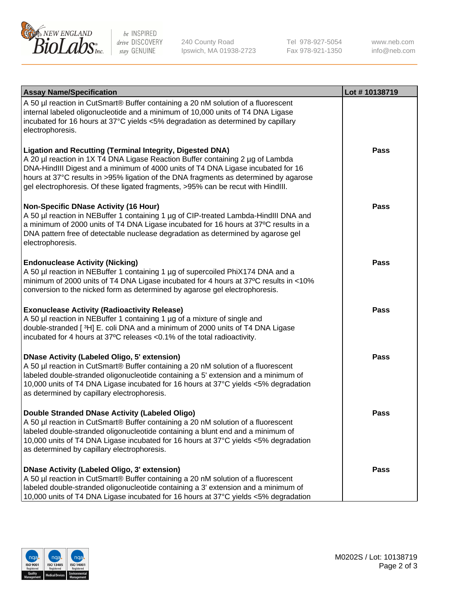

be INSPIRED drive DISCOVERY stay GENUINE

240 County Road Ipswich, MA 01938-2723 Tel 978-927-5054 Fax 978-921-1350

www.neb.com info@neb.com

| <b>Assay Name/Specification</b>                                                                                                                                                                                                                                                                                                                                                                                    | Lot #10138719 |
|--------------------------------------------------------------------------------------------------------------------------------------------------------------------------------------------------------------------------------------------------------------------------------------------------------------------------------------------------------------------------------------------------------------------|---------------|
| A 50 µl reaction in CutSmart® Buffer containing a 20 nM solution of a fluorescent<br>internal labeled oligonucleotide and a minimum of 10,000 units of T4 DNA Ligase<br>incubated for 16 hours at 37°C yields <5% degradation as determined by capillary<br>electrophoresis.                                                                                                                                       |               |
| <b>Ligation and Recutting (Terminal Integrity, Digested DNA)</b><br>A 20 µl reaction in 1X T4 DNA Ligase Reaction Buffer containing 2 µg of Lambda<br>DNA-HindIII Digest and a minimum of 4000 units of T4 DNA Ligase incubated for 16<br>hours at 37°C results in >95% ligation of the DNA fragments as determined by agarose<br>gel electrophoresis. Of these ligated fragments, >95% can be recut with HindIII. | <b>Pass</b>   |
| <b>Non-Specific DNase Activity (16 Hour)</b><br>A 50 µl reaction in NEBuffer 1 containing 1 µg of CIP-treated Lambda-HindIII DNA and<br>a minimum of 2000 units of T4 DNA Ligase incubated for 16 hours at 37°C results in a<br>DNA pattern free of detectable nuclease degradation as determined by agarose gel<br>electrophoresis.                                                                               | <b>Pass</b>   |
| <b>Endonuclease Activity (Nicking)</b><br>A 50 µl reaction in NEBuffer 1 containing 1 µg of supercoiled PhiX174 DNA and a<br>minimum of 2000 units of T4 DNA Ligase incubated for 4 hours at 37°C results in <10%<br>conversion to the nicked form as determined by agarose gel electrophoresis.                                                                                                                   | <b>Pass</b>   |
| <b>Exonuclease Activity (Radioactivity Release)</b><br>A 50 µl reaction in NEBuffer 1 containing 1 µg of a mixture of single and<br>double-stranded [3H] E. coli DNA and a minimum of 2000 units of T4 DNA Ligase<br>incubated for 4 hours at 37°C releases <0.1% of the total radioactivity.                                                                                                                      | <b>Pass</b>   |
| <b>DNase Activity (Labeled Oligo, 5' extension)</b><br>A 50 µl reaction in CutSmart® Buffer containing a 20 nM solution of a fluorescent<br>labeled double-stranded oligonucleotide containing a 5' extension and a minimum of<br>10,000 units of T4 DNA Ligase incubated for 16 hours at 37°C yields <5% degradation<br>as determined by capillary electrophoresis.                                               | <b>Pass</b>   |
| Double Stranded DNase Activity (Labeled Oligo)<br>A 50 µl reaction in CutSmart® Buffer containing a 20 nM solution of a fluorescent<br>labeled double-stranded oligonucleotide containing a blunt end and a minimum of<br>10,000 units of T4 DNA Ligase incubated for 16 hours at 37°C yields <5% degradation<br>as determined by capillary electrophoresis.                                                       | <b>Pass</b>   |
| <b>DNase Activity (Labeled Oligo, 3' extension)</b><br>A 50 µl reaction in CutSmart® Buffer containing a 20 nM solution of a fluorescent<br>labeled double-stranded oligonucleotide containing a 3' extension and a minimum of<br>10,000 units of T4 DNA Ligase incubated for 16 hours at 37°C yields <5% degradation                                                                                              | <b>Pass</b>   |